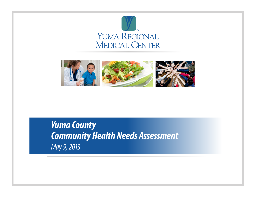



*Yuma County Community Health Needs Assessment May 9, 2013*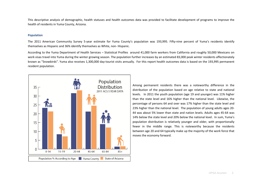This descriptive analysis of demographic, health statuses and health outcomes data was provided to facilitate development of programs to improve the health of residents in Yuma County, Arizona.

## **Population**

The 2011 American Community Survey 5-year estimate for Yuma County's population was 193,995. Fifty-nine percent of Yuma's residents identify themselves as Hispanic and 36% identify themselves as White, non- Hispanic.

According to the Yuma Department of Health Services – Statistical Profiles around 41,000 farm workers from California and roughly 50,000 Mexicans on work visas travel into Yuma during the winter growing season. The population further increases by an estimated 83,000 peak winter residents affectionately known as "Snowbirds". Yuma also receives 1,300,000 day-tourist visits annually. For this report health outcomes data is based on the 193,995 permanent resident population.



Among permanent residents there was a noteworthy difference in the distribution of the population based on age relative to state and national levels. In 2011 the youth population (age 19 and younger) was 11% higher than the state level and 16% higher than the national level. Likewise, the percentage of persons 64 and over was 17% higher than the state level and 23% higher than the national level. The population of young adults ages 20-44 was about 5% lower than state and nation levels. Adults ages 45-64 was 14% below the state level and 20% below the national level. In sum, Yuma's population distribution is relatively younger and older, with proportionally fewer in the middle range. This is noteworthy because the residents between age 20 and 64 typically make up the majority of the work force that moves the economy forward.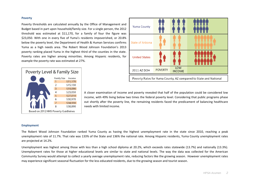# **Poverty**

Poverty thresholds are calculated annually by the Office of Management and Budget based in part upon household/family size. For a single person, the 2012 threshold was estimated at \$11,170, for a family of four the figure was \$23,050. With one in every five of Yuma's residents impoverished, or 20.8% below the poverty level, the Department of Health & Human Services confirms Yuma as a high needs area. The Robert Wood Johnson Foundation's 2013 poverty ranking placed Yuma in the highest third of the counties in the state. Poverty rates are higher among minorities. Among Hispanic residents, for example the poverty rate was estimated at 27%.





A closer examination of income and poverty revealed that half of the population could be considered low income, with 49% living below two times the federal poverty level. Considering that public programs phase out shortly after the poverty line, the remaining residents faced the predicament of balancing healthcare needs with limited income.

### **Employment**

The Robert Wood Johnson Foundation ranked Yuma County as having the highest unemployment rate in the state since 2010, reaching a peak unemployment rate of 11.7%. That rate was 133% of the State and 136% the national rate. Among Hispanic residents, Yuma County unemployment rates are projected at 14.2%.

Unemployment was highest among those with less than a high school diploma at 20.2%, which exceeds rates statewide (13.7%) and nationally (13.3%). Unemployment rates for those at higher educational levels are similar to state and national levels. The way the data was collected for the American Community Survey would attempt to collect a yearly average unemployment rate, reducing factors like the growing season. However unemployment rates may experience significant seasonal fluctuation for the less educated residents, due to the growing season and tourist season.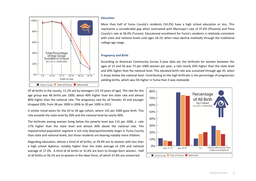

#### **Education**

More than half of Yuma County's residents (54.2%) have a high school education or less. This represents a considerable gap when contrasted with Maricopa's rate of 37.6% (Phoenix) and Pima County's rate at 36.4% (Tucson). Educational enrollment for Yuma's residents is relatively consistent with state and national levels until ages 18-19, when rates decline markedly through the traditional college age range.

# **Pregnancy and Birth**

According to American Community Survey 5-year data set, the birthrate for women between the ages of 15 and 50 was 73 per 1000 women per year, a rate nearly 20% higher than the state level and 30% higher than the national level. This elevated birth rate was sustained through age 35, when it drops below the national level. Contributing to the high birthrate is the percentage of pregnanciesyielding births, which was 5% higher in Yuma than it was statewide.

Of all births in the county, 11.2% are by teenagers (15-19 years of age). The rate for this age group was 48 births per 1000, about 40% higher than the state rate and almost 80% higher than the national rate. The pregnancy rate for all females 19 and younger dropped 20%, from 38 per 1000 in 2006 to 30 per 1000 in 2011.

A similar trend exists for the 20 to 34 age cohort, where 142 per 1000 gave birth. This rate exceeds the state level by 30% and the national level by nearly 40%.

The birthrate among women living below the poverty level was 115 per 1000, a rate 17% higher than the state level and almost 30% above the national rate. The impoverished population segment is not only disproportionately larger in Yuma County than state and national levels, but those residents are bearing notably more children.

Regarding education, almost a third of all births, or 29.4% are to women with less than a high school diploma, notably higher than the state average of 23% and national average of 17.3%. A third of all births or 31.6% are born to foreign-born women. Half of all births or 50.1% are to women in the labor force, of which 37.8% are unmarried.

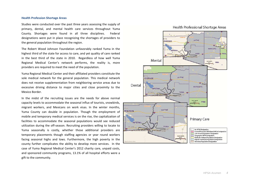#### **Health Profession Shortage Areas**

Studies were conducted over the past three years assessing the supply of primary, dental, and mental health care services throughout Yuma County. Shortages were found in all three disciplines. Federal designations were put in place recognizing the shortages of providers to the general population throughout the region.

The Robert Wood Johnson Foundation unfavorably ranked Yuma in the highest third of the state for access to care, and yet quality of care ranked in the best third of the state in 2010. Regardless of how well Yuma Regional Medical Center's network performs, the reality is, more providers are required to meet the need of the population.

Yuma Regional Medical Center and their affiliated providers constitute the sole medical network for the general population. This medical network does not receive supplementation from neighboring service areas due to excessive driving distance to major cities and close proximity to the Mexico Border.

In the midst of the recruiting issues are the needs for above normal capacity levels to accommodate the seasonal influx of tourists, snowbirds, migrant workers, and Mexicans on work visas. In the winter months, Yuma County can double in population. Though the employment of mobile and temporary medical services is on the rise, the capitalization of facilities to accommodate the seasonal populations would see reduced utilization during the off-season. Recruiting providers willing to locate to Yuma seasonally is costly, whether those additional providers are temporary placements though staffing agencies or year round workers facing seasonal highs and lows. Furthermore, the high poverty in the county further complicates the ability to develop more services. In the case of Yuma Regional Medical Center's 2012 charity care, unpaid costs, and sponsored community programs, 13.1% of all hospital efforts were a gift to the community.



# Health Professional Shortage Areas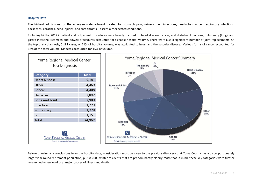# **Hospital Data**

The highest admissions for the emergency department treated for stomach pain, urinary tract infections, headaches, upper respiratory infections, backaches, earaches, head injuries, and sore throats – essentially expected conditions.

Excluding births, 2012 inpatient and outpatient procedures were heavily focused on heart disease, cancer, and diabetes. Infections, pulmonary (lung), and gastro-intestinal (stomach and bowel) procedures accounted for sizeable hospital volume. There were also a significant number of joint replacements. Of the top thirty diagnosis, 5,181 cases, or 21% of hospital volume, was attributed to heart and the vascular disease. Various forms of cancer accounted for 18% of the total volume. Diabetes accounted for 15% of volume.



Before drawing any conclusions from the hospital data, consideration must be given to the previous discovery that Yuma County has a disproportionately larger year round retirement population, plus 83,000 winter residents that are predominantly elderly. With that in mind, these key categories were further researched when looking at major causes of illness and death.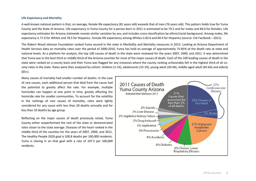# **Life Expectancy and Mortality**

A well-known national pattern is that, on average, female life expectancy (81 years old) exceeds that of men (76 years old). This pattern holds true for Yuma County and the State of Arizona. Life expectancy in Yuma County for a person born in 2011 is estimated to be 79.2 and for males and 84.0 for females. Life expectancy estimates for Arizona statewide reveals similar variation by sex, and includes cross-classification by ethnic/racial background. Among males, life expectancy is 77.6 for Whites and 78.5 for Hispanics. Female life expectancy among Whites is 82.6 and 84.4 for Hispanics (source: CIA Factbook – 2011).

The Robert Wood Johnson Foundation ranked Yuma second in the state in Morbidity and Mortality measures in 2013. Looking at Arizona Department of Health Services data on mortality rates over the period of 2000-2010, Yuma has held an average of approximately 75-85% of the death rate at state and national levels. As a platform for analysis, the top 100 causes of death in the state were reviewed for the years 2007, 2009, and 2011. It was determined that Yuma was in the best third or middle third of the Arizona counties for most of the major causes of death. Each of the 100 leading causes of death in the state were ranked on a county basis and then Yuma was flagged for any instances where the county ranking unfavorably fell in the highest third of all county rates in the state. Rates were then analyzed by cohort: children (1-14), adolescents (15-19), young adult (20-44), middle aged adult (45-64) and elderly  $(65+)$ .

Many causes of mortality had smaller number of deaths. In the case of rare causes, each additional person that died from the cause had the potential to greatly affect the rate. For example, multiple homicides can happen at one point in time, greatly affecting the homicide rate for smaller communities. To account for the volatility in the rankings of rare causes of mortality, rates were lightly considered for any cause with less than 20 deaths annually and for less than 10 deaths by age group.

Reflecting on the major causes of death previously noted, Yuma County either outperformed the rest of the state or demonstrated rates closer to the state average. Diseases of the heart ranked in the middle third of the counties for the years of 2007, 2009, and 2011. The Healthy People 2020 goal is 100.8 deaths per 100,000 residents. Yuma is closing in on that goal with a rate of 107.5 per 100,000 residents.

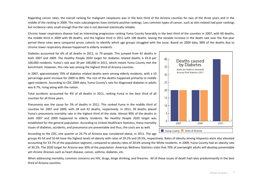Regarding cancer rates, the overall ranking for malignant neoplasms was in the best third of the Arizona counties for two of the three years and in the middle of the ranking in 2009. The main subcategories have similarly positive rankings. Less common types of cancer, such as skin-related had poor rankings but incidence rates small enough that the rate is not deemed statistically reliable.

Chronic lower respiratory disease had an interesting progression ranking Yuma County favorably in the best third of the counties in 2007, with 60 deaths,the middle third in 2009 with 90 deaths, and the highest third in 2011 with 106 deaths. Seeing the notable increase in the death rate over the five-year period these rates were compared across cohorts to identify which age groups struggled with the issue. Based on 2009 data, 98% of the deaths due to chronic lower respiratory disease happened to elderly residents.

Diabetes accounted for 6% of all deaths in 2011, or 79 people. This jumped from 42 deaths in both 2007 and 2009. The Healthy People 2020 target for diabetes related deaths is 65.8 per 100,000 residents. Yuma's rate was 39 per 100,000 in 2011, which meant Yuma County met the benchmark. However, this rate was among the highest third of Arizona counties.

In 2007, approximately 70% of diabetes related deaths were among elderly residents, with a 10 percentage point increase for 2009 to 80%. The rest of the deaths happened primarily to middle aged residents. According to CDC 2009 data, Yuma County's rate for diagnosed diabetes in adults was 8.7%, rising along with the nation.

Total accidents accounted for 4% of all deaths in 2011, ranking Yuma in the best third of all counties for all three years.

Pneumonia was the cause for 3% of deaths in 2011. This ranked Yuma in the middle third of counties for 2007 and 2009, with 28 and 42 deaths, respectively. In 2011, 39 deaths placed Yuma's pneumonia mortality rate in the highest third of the state. Almost 90% of the deaths in both 2007 and 2009 happened to elderly residents. No Healthy People 2020 target was established for the general population. According to United Healthcare Statistics, these mortality issues of diabetes, accidents, and pneumonia are preventable and thus, the costs are as well.

According to the CDC, one quarter or 24.7% of Arizona was considered obese, in 2011. The age

groups 45-54 and 55-64 have the highest levels of obesity with rates of 29.2% and 29.5%, respectively. Rates of obesity among Hispanics were also elevated accounting for 33.7% of the population segment, compared to obesity rates of 20.6% among the White residents. In 2009, Yuma County had an obesity rate of 30.2%. The 2020 target for Arizona was 30% of the population. Americas Wellness Statistics state that 70% of overweight adults will develop preventable yet chronic illnesses such as heart disease, cancer, asthma, diabetes, etc.

When addressing mortality, common concerns are HIV, drugs, binge drinking, and firearms. All of those issues of death had rates predominantly in the best third of Arizona counties.

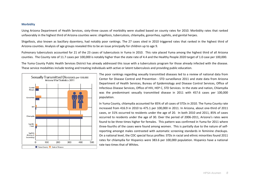## **Morbidity**

Using Arizona Department of Health Services, sixty-three causes of morbidity were studied based on county rates for 2010. Morbidity rates that ranked unfavorably in the highest third of Arizona counties were: shigellosis, tuberculosis, chlamydia, gonorrhea, syphilis, and genital herpes.

Shigellosis, also known as bacillary dysentery, had notably poor rankings. The 27 cases sited in 2010 triggered rates that ranked in the highest third ofArizona counties. Analysis of age groups revealed this to be an issue principally for children up to age 9.

Pulmonary tuberculosis accounted for 21 of the 23 cases of tuberculosis in Yuma in 2010. This rate placed Yuma among the highest third of all Arizona counties. The County rate of 11.7 cases per 100,000 is notably higher than the state rate of 4.4 and the Healthy People 2020 target of 1.0 case per 100,000.

The Yuma County Public Health Services District has already addressed this issue with a tuberculosis program for those already infected with the disease.These service modalities include testing and treating individuals with active or latent tuberculosis and providing public education.



The poor rankings regarding sexually transmitted diseases led to a review of national data from Center for Disease Control and Prevention - STD surveillance 2011 and state data from Arizona Department of Health Services, Bureau of Epidemiology and Disease Control Services, Office of Infectious Disease Services, Office of HIV, HEP C, STD Services. In the state and nation, Chlamydia was the predominant sexually transmitted disease in 2011 with 457.6 cases per 100,000 population.

In Yuma County, chlamydia accounted for 85% of all cases of STDs in 2010. The Yuma County rate increased from 416.9 in 2010 to 475.1 per 100,000 in 2011. In Arizona, about one-third of 2011 cases, or 31% occurred to residents under the age of 20. In both 2010 and 2011, 85% of cases occurred to residents under the age of 30. Over the period of 2006-2011, Arizona's rates were found to be three times higher for females. This pattern was confirmed in Yuma for 2011 where three-fourths of the cases were found among women. This is partially due to the nature of selfreporting amongst males contrasted with automatic screening standards in feminine checkups. On a national level, the CDC special focus profiles: STDs in racial and ethnic minorities found 2011 rates for chlamydia for Hispanics were 383.6 per 100,000 population. Hispanics have a national rate two times that of Whites.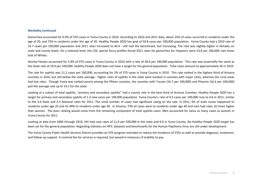### **Morbidity Continued**

Gonorrhea accounted for 6.9% of STD cases in Yuma County in 2010. According to 2010 and 2011 data, about 25% of cases occurred in residents under the age of 20, and 75% in residents under the age of 30. Healthy People 2020 has goal of 50.8 cases per 100,000 population. Yuma County had a 2010 rate of 33.7 cases per 100,000 population and 2011 rates increased to 40.4 - still met the benchmark, but increasing. The rate was slightly higher in females on state and county levels. On a national level, the CDC special focus profiles found 2011 rates for gonorrhea for Hispanics were 53.8 per 100,000; two times that of Whites.

Genital Herpes accounted for 5.8% of STD cases in Yuma County in 2010 with a rate of 28.6 per 100,000 population. This rate was essentially the same as the State rate of 29.0 per 100,000. Healthy People 2020 does not have a target for the general population. Total cases amount to approximately 56 in 2010.

The rate for syphilis was 11.2 cases per 100,000, accounting for 2% of STD cases in Yuma County in 2010. This rate ranked in the highest third of Arizona counties in 2010, but still below the state average. Higher rates of syphilis in the state were located in counties with major cities, whereas the rural areas had low rates. Though Yuma was ranked poorly among the fifteen counties, the counties with Tucson (16.7 per 100,000) and Phoenix (16.4 per 100,000) pull the average rate up to 14.1 for the state.

Looking at a subset of total syphilis, "primary and secondary syphilis" had a county rate in the best third of Arizona Counties. Healthy People 2020 has a target for primary and secondary syphilis of 1.3 new cases per 100,000 population. Yuma County's rate of 0.5 cases per 100,000 rose to 4.6 in 2011; similar to the 3.6 State and 4.3 National rates for 2011. The small number of cases had significant swing on the rate. In 2011, 6% of state issues happened to residents under age 20 and 41-49% to residents under age 30. In Arizona, 73% of cases were to residents under age 40 and men had rates 16 times higher than women. The poor ranking would come from the remaining component of total syphilis cases. Men accounted for twice as many cases as women in Yuma County for 2011.

Looking at data from 2006 through 2010, HIV had case rates of 11.0 per 100,000 in the state and 6.6 in Yuma County. No Healthy People 2020 target has been set for the general population. Regarding statistics on HPV, datasets and benchmarks for the Human Papilloma Virus are still under development.

The Yuma County Public Health Services District provides an STD program intended to reduce the incidence of STDs as well as provide diagnosis, treatment,and follow-up support. A nominal fee for services is required, but waved in instances of inability to pay.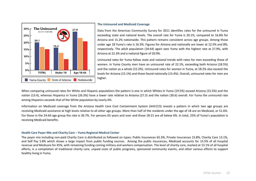

# **The Uninsured and Medicaid Coverage**

Data from the American Community Survey for 2011 identifies rates for the uninsured in Yuma exceeding state and national levels. The overall rate for Yuma is 20.1%, compared to 16.8% for Arizona and 15.2% nationwide. This pattern remains consistent across age groups. Among those under age 18 Yuma's rate is 16.3%. Figures for Arizona and nationally are lower at 12.5% and 8%, respectively. The adult population (18-64) again sees Yuma with the highest rate at 27.9%, with Arizona at 22.3% and a national figure of 20.9%.

Uninsured rates for Yuma follow state and national trends with rates for men exceeding those of women. In Yuma County men have an uninsured rate of 22.1%, exceeding both Arizona (18.5%) and the nation as a whole (15.2%). Uninsured rates for women in Yuma, at 18.2% also exceed the levels for Arizona (15.1%) and those found nationally (13.4%). Overall, uninsured rates for men are

When comparing uninsured rates for White and Hispanic populations the pattern is one in which Whites in Yuma (19.5%) exceed Arizona (15.5%) and the nation (13.4), whereas Hispanics in Yuma (26.3%) have a lower rate relative to Arizona (27.3) and the nation (30.6) overall. For Yuma the uninsured rate among Hispanics exceeds that of the White population by nearly 6%.

Information on Medicaid coverage from the Arizona Health Care Cost Containment System (AHCCCS) reveals a pattern in which two age groups are receiving Medicaid assistance at high levels relative to all other age groups. More than half of the residents under the age of 18 are on Medicaid, or 51.6%. For those in the 24-64 age group the rate is 36.7%. For persons 65 years and over and those 18-21 are all below 6%. In total, 25% of Yuma's population isreceiving Medicaid benefits.

# **Health Care Payor Mix and Charity Care – Yuma Regional Medical Center**

The payor mix including non-paid Charity Care is distributed as followed on types: Public Insurances 65.3%, Private Insurances 15.8%, Charity Care 13.1%,and Self Pay 5.8% which shows a large impact from public funding sources. Among the public insurances, Medicaid accounts for 15.5% of all hospital revenue and Medicare for 45%, with remaining funding coming military and workers compensation. The level of charity care, marked at 13.1% of all hospitalefforts, is a compilation of traditional charity care, unpaid costs of public programs, sponsored community events, and other various efforts to support healthy living in Yuma.